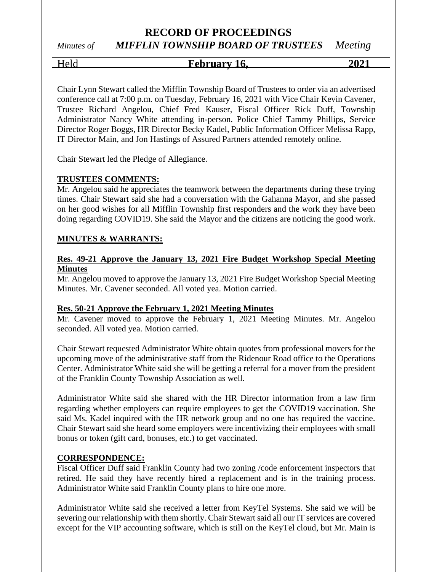# **RECORD OF PROCEEDINGS**

*Minutes of MIFFLIN TOWNSHIP BOARD OF TRUSTEES Meeting*

# Held **February 16, 2021**

Chair Lynn Stewart called the Mifflin Township Board of Trustees to order via an advertised conference call at 7:00 p.m. on Tuesday, February 16, 2021 with Vice Chair Kevin Cavener, Trustee Richard Angelou, Chief Fred Kauser, Fiscal Officer Rick Duff, Township Administrator Nancy White attending in-person. Police Chief Tammy Phillips, Service Director Roger Boggs, HR Director Becky Kadel, Public Information Officer Melissa Rapp, IT Director Main, and Jon Hastings of Assured Partners attended remotely online.

Chair Stewart led the Pledge of Allegiance.

#### **TRUSTEES COMMENTS:**

Mr. Angelou said he appreciates the teamwork between the departments during these trying times. Chair Stewart said she had a conversation with the Gahanna Mayor, and she passed on her good wishes for all Mifflin Township first responders and the work they have been doing regarding COVID19. She said the Mayor and the citizens are noticing the good work.

### **MINUTES & WARRANTS:**

### **Res. 49-21 Approve the January 13, 2021 Fire Budget Workshop Special Meeting Minutes**

Mr. Angelou moved to approve the January 13, 2021 Fire Budget Workshop Special Meeting Minutes. Mr. Cavener seconded. All voted yea. Motion carried.

#### **Res. 50-21 Approve the February 1, 2021 Meeting Minutes**

Mr. Cavener moved to approve the February 1, 2021 Meeting Minutes. Mr. Angelou seconded. All voted yea. Motion carried.

Chair Stewart requested Administrator White obtain quotes from professional movers for the upcoming move of the administrative staff from the Ridenour Road office to the Operations Center. Administrator White said she will be getting a referral for a mover from the president of the Franklin County Township Association as well.

Administrator White said she shared with the HR Director information from a law firm regarding whether employers can require employees to get the COVID19 vaccination. She said Ms. Kadel inquired with the HR network group and no one has required the vaccine. Chair Stewart said she heard some employers were incentivizing their employees with small bonus or token (gift card, bonuses, etc.) to get vaccinated.

#### **CORRESPONDENCE:**

Fiscal Officer Duff said Franklin County had two zoning /code enforcement inspectors that retired. He said they have recently hired a replacement and is in the training process. Administrator White said Franklin County plans to hire one more.

Administrator White said she received a letter from KeyTel Systems. She said we will be severing our relationship with them shortly. Chair Stewart said all our IT services are covered except for the VIP accounting software, which is still on the KeyTel cloud, but Mr. Main is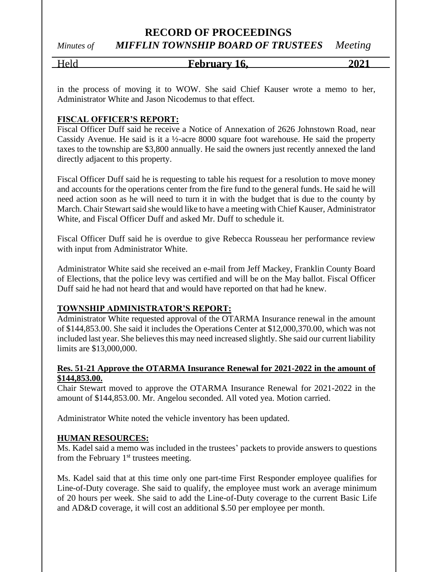# **RECORD OF PROCEEDINGS** *Minutes of MIFFLIN TOWNSHIP BOARD OF TRUSTEES Meeting*

Held **February 16, 2021**

in the process of moving it to WOW. She said Chief Kauser wrote a memo to her, Administrator White and Jason Nicodemus to that effect.

## **FISCAL OFFICER'S REPORT:**

Fiscal Officer Duff said he receive a Notice of Annexation of 2626 Johnstown Road, near Cassidy Avenue. He said is it a ½-acre 8000 square foot warehouse. He said the property taxes to the township are \$3,800 annually. He said the owners just recently annexed the land directly adjacent to this property.

Fiscal Officer Duff said he is requesting to table his request for a resolution to move money and accounts for the operations center from the fire fund to the general funds. He said he will need action soon as he will need to turn it in with the budget that is due to the county by March. Chair Stewart said she would like to have a meeting with Chief Kauser, Administrator White, and Fiscal Officer Duff and asked Mr. Duff to schedule it.

Fiscal Officer Duff said he is overdue to give Rebecca Rousseau her performance review with input from Administrator White.

Administrator White said she received an e-mail from Jeff Mackey, Franklin County Board of Elections, that the police levy was certified and will be on the May ballot. Fiscal Officer Duff said he had not heard that and would have reported on that had he knew.

#### **TOWNSHIP ADMINISTRATOR'S REPORT:**

Administrator White requested approval of the OTARMA Insurance renewal in the amount of \$144,853.00. She said it includes the Operations Center at \$12,000,370.00, which was not included last year. She believes this may need increased slightly. She said our current liability limits are \$13,000,000.

### **Res. 51-21 Approve the OTARMA Insurance Renewal for 2021-2022 in the amount of \$144,853.00.**

Chair Stewart moved to approve the OTARMA Insurance Renewal for 2021-2022 in the amount of \$144,853.00. Mr. Angelou seconded. All voted yea. Motion carried.

Administrator White noted the vehicle inventory has been updated.

#### **HUMAN RESOURCES:**

Ms. Kadel said a memo was included in the trustees' packets to provide answers to questions from the February  $1<sup>st</sup>$  trustees meeting.

Ms. Kadel said that at this time only one part-time First Responder employee qualifies for Line-of-Duty coverage. She said to qualify, the employee must work an average minimum of 20 hours per week. She said to add the Line-of-Duty coverage to the current Basic Life and AD&D coverage, it will cost an additional \$.50 per employee per month.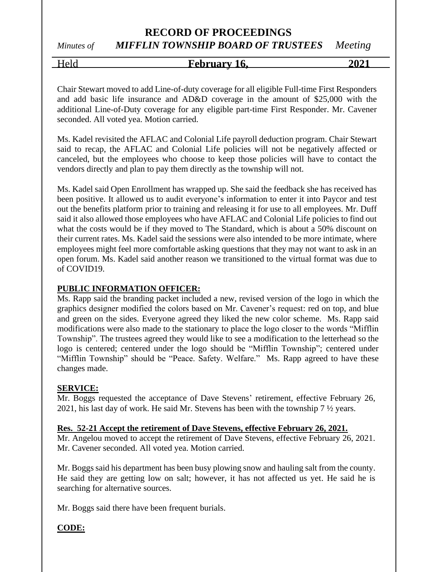# **RECORD OF PROCEEDINGS** *Minutes of MIFFLIN TOWNSHIP BOARD OF TRUSTEES Meeting*

# Held **February 16, 2021**

Chair Stewart moved to add Line-of-duty coverage for all eligible Full-time First Responders and add basic life insurance and AD&D coverage in the amount of \$25,000 with the additional Line-of-Duty coverage for any eligible part-time First Responder. Mr. Cavener seconded. All voted yea. Motion carried.

Ms. Kadel revisited the AFLAC and Colonial Life payroll deduction program. Chair Stewart said to recap, the AFLAC and Colonial Life policies will not be negatively affected or canceled, but the employees who choose to keep those policies will have to contact the vendors directly and plan to pay them directly as the township will not.

Ms. Kadel said Open Enrollment has wrapped up. She said the feedback she has received has been positive. It allowed us to audit everyone's information to enter it into Paycor and test out the benefits platform prior to training and releasing it for use to all employees. Mr. Duff said it also allowed those employees who have AFLAC and Colonial Life policies to find out what the costs would be if they moved to The Standard, which is about a 50% discount on their current rates. Ms. Kadel said the sessions were also intended to be more intimate, where employees might feel more comfortable asking questions that they may not want to ask in an open forum. Ms. Kadel said another reason we transitioned to the virtual format was due to of COVID19.

# **PUBLIC INFORMATION OFFICER:**

Ms. Rapp said the branding packet included a new, revised version of the logo in which the graphics designer modified the colors based on Mr. Cavener's request: red on top, and blue and green on the sides. Everyone agreed they liked the new color scheme. Ms. Rapp said modifications were also made to the stationary to place the logo closer to the words "Mifflin Township". The trustees agreed they would like to see a modification to the letterhead so the logo is centered; centered under the logo should be "Mifflin Township"; centered under "Mifflin Township" should be "Peace. Safety. Welfare." Ms. Rapp agreed to have these changes made.

# **SERVICE:**

Mr. Boggs requested the acceptance of Dave Stevens' retirement, effective February 26, 2021, his last day of work. He said Mr. Stevens has been with the township 7 ½ years.

# **Res. 52-21 Accept the retirement of Dave Stevens, effective February 26, 2021.**

Mr. Angelou moved to accept the retirement of Dave Stevens, effective February 26, 2021. Mr. Cavener seconded. All voted yea. Motion carried.

Mr. Boggs said his department has been busy plowing snow and hauling salt from the county. He said they are getting low on salt; however, it has not affected us yet. He said he is searching for alternative sources.

Mr. Boggs said there have been frequent burials.

# **CODE:**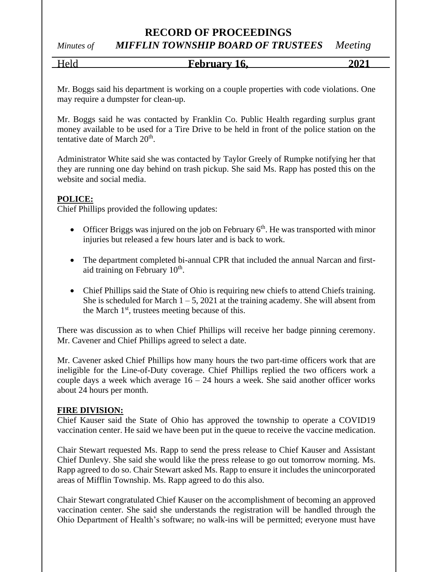# **RECORD OF PROCEEDINGS**

# *Minutes of MIFFLIN TOWNSHIP BOARD OF TRUSTEES Meeting*

Held **February 16, 2021**

Mr. Boggs said his department is working on a couple properties with code violations. One may require a dumpster for clean-up.

Mr. Boggs said he was contacted by Franklin Co. Public Health regarding surplus grant money available to be used for a Tire Drive to be held in front of the police station on the tentative date of March  $20<sup>th</sup>$ .

Administrator White said she was contacted by Taylor Greely of Rumpke notifying her that they are running one day behind on trash pickup. She said Ms. Rapp has posted this on the website and social media.

### **POLICE:**

Chief Phillips provided the following updates:

- Officer Briggs was injured on the job on February  $6<sup>th</sup>$ . He was transported with minor injuries but released a few hours later and is back to work.
- The department completed bi-annual CPR that included the annual Narcan and firstaid training on February 10<sup>th</sup>.
- Chief Phillips said the State of Ohio is requiring new chiefs to attend Chiefs training. She is scheduled for March  $1 - 5$ , 2021 at the training academy. She will absent from the March 1<sup>st</sup>, trustees meeting because of this.

There was discussion as to when Chief Phillips will receive her badge pinning ceremony. Mr. Cavener and Chief Phillips agreed to select a date.

Mr. Cavener asked Chief Phillips how many hours the two part-time officers work that are ineligible for the Line-of-Duty coverage. Chief Phillips replied the two officers work a couple days a week which average  $16 - 24$  hours a week. She said another officer works about 24 hours per month.

#### **FIRE DIVISION:**

Chief Kauser said the State of Ohio has approved the township to operate a COVID19 vaccination center. He said we have been put in the queue to receive the vaccine medication.

Chair Stewart requested Ms. Rapp to send the press release to Chief Kauser and Assistant Chief Dunlevy. She said she would like the press release to go out tomorrow morning. Ms. Rapp agreed to do so. Chair Stewart asked Ms. Rapp to ensure it includes the unincorporated areas of Mifflin Township. Ms. Rapp agreed to do this also.

Chair Stewart congratulated Chief Kauser on the accomplishment of becoming an approved vaccination center. She said she understands the registration will be handled through the Ohio Department of Health's software; no walk-ins will be permitted; everyone must have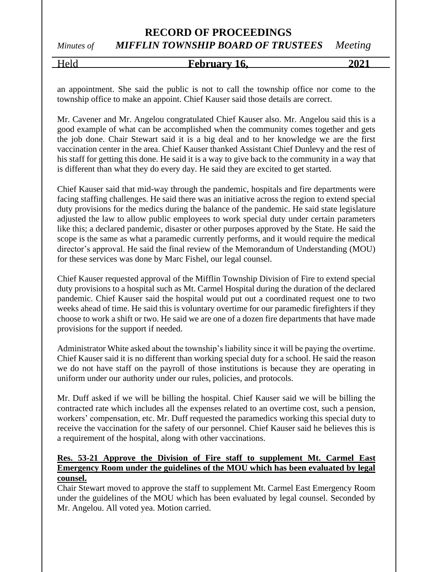# **RECORD OF PROCEEDINGS** *Minutes of MIFFLIN TOWNSHIP BOARD OF TRUSTEES Meeting*

# Held **February 16, 2021**

an appointment. She said the public is not to call the township office nor come to the township office to make an appoint. Chief Kauser said those details are correct.

Mr. Cavener and Mr. Angelou congratulated Chief Kauser also. Mr. Angelou said this is a good example of what can be accomplished when the community comes together and gets the job done. Chair Stewart said it is a big deal and to her knowledge we are the first vaccination center in the area. Chief Kauser thanked Assistant Chief Dunlevy and the rest of his staff for getting this done. He said it is a way to give back to the community in a way that is different than what they do every day. He said they are excited to get started.

Chief Kauser said that mid-way through the pandemic, hospitals and fire departments were facing staffing challenges. He said there was an initiative across the region to extend special duty provisions for the medics during the balance of the pandemic. He said state legislature adjusted the law to allow public employees to work special duty under certain parameters like this; a declared pandemic, disaster or other purposes approved by the State. He said the scope is the same as what a paramedic currently performs, and it would require the medical director's approval. He said the final review of the Memorandum of Understanding (MOU) for these services was done by Marc Fishel, our legal counsel.

Chief Kauser requested approval of the Mifflin Township Division of Fire to extend special duty provisions to a hospital such as Mt. Carmel Hospital during the duration of the declared pandemic. Chief Kauser said the hospital would put out a coordinated request one to two weeks ahead of time. He said this is voluntary overtime for our paramedic firefighters if they choose to work a shift or two. He said we are one of a dozen fire departments that have made provisions for the support if needed.

Administrator White asked about the township's liability since it will be paying the overtime. Chief Kauser said it is no different than working special duty for a school. He said the reason we do not have staff on the payroll of those institutions is because they are operating in uniform under our authority under our rules, policies, and protocols.

Mr. Duff asked if we will be billing the hospital. Chief Kauser said we will be billing the contracted rate which includes all the expenses related to an overtime cost, such a pension, workers' compensation, etc. Mr. Duff requested the paramedics working this special duty to receive the vaccination for the safety of our personnel. Chief Kauser said he believes this is a requirement of the hospital, along with other vaccinations.

# **Res. 53-21 Approve the Division of Fire staff to supplement Mt. Carmel East Emergency Room under the guidelines of the MOU which has been evaluated by legal counsel.**

Chair Stewart moved to approve the staff to supplement Mt. Carmel East Emergency Room under the guidelines of the MOU which has been evaluated by legal counsel. Seconded by Mr. Angelou. All voted yea. Motion carried.